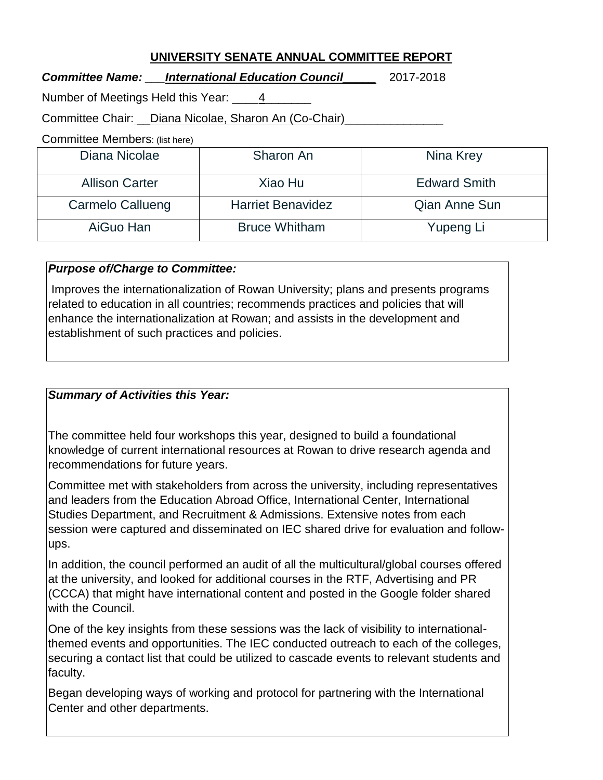## **UNIVERSITY SENATE ANNUAL COMMITTEE REPORT**

*Committee Name: \_\_\_International Education Council\_\_\_\_\_* 2017-2018

Number of Meetings Held this Year: \_\_\_\_\_4

Committee Chair: \_\_ Diana Nicolae, Sharon An (Co-Chair)

Committee Members: (list here)

| Diana Nicolae           | Sharon An                | Nina Krey            |
|-------------------------|--------------------------|----------------------|
| <b>Allison Carter</b>   | Xiao Hu                  | <b>Edward Smith</b>  |
| <b>Carmelo Callueng</b> | <b>Harriet Benavidez</b> | <b>Qian Anne Sun</b> |
| AiGuo Han               | <b>Bruce Whitham</b>     | Yupeng Li            |

## *Purpose of/Charge to Committee:*

Improves the internationalization of Rowan University; plans and presents programs related to education in all countries; recommends practices and policies that will enhance the internationalization at Rowan; and assists in the development and establishment of such practices and policies.

# *Summary of Activities this Year:*

The committee held four workshops this year, designed to build a foundational knowledge of current international resources at Rowan to drive research agenda and recommendations for future years.

Committee met with stakeholders from across the university, including representatives and leaders from the Education Abroad Office, International Center, International Studies Department, and Recruitment & Admissions. Extensive notes from each session were captured and disseminated on IEC shared drive for evaluation and followups.

In addition, the council performed an audit of all the multicultural/global courses offered at the university, and looked for additional courses in the RTF, Advertising and PR (CCCA) that might have international content and posted in the Google folder shared with the Council.

One of the key insights from these sessions was the lack of visibility to internationalthemed events and opportunities. The IEC conducted outreach to each of the colleges, securing a contact list that could be utilized to cascade events to relevant students and faculty.

Began developing ways of working and protocol for partnering with the International Center and other departments.